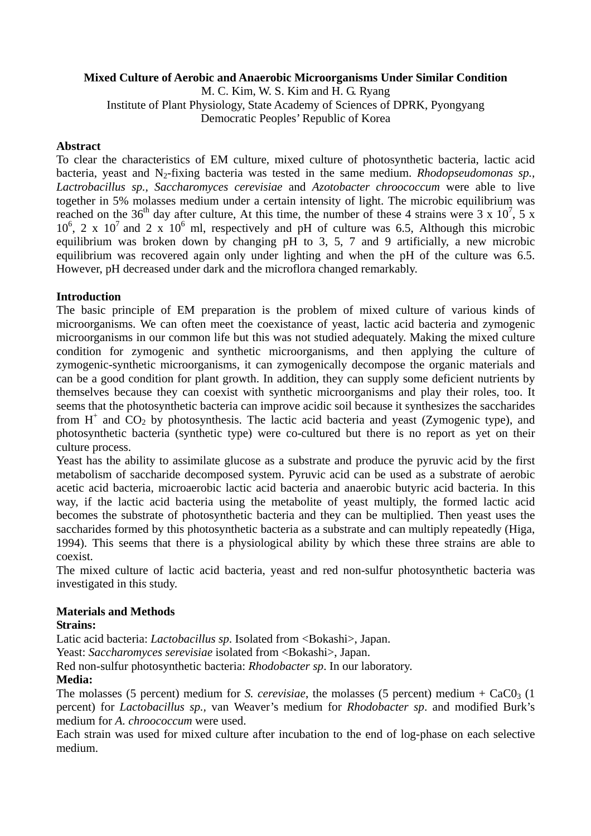## **Mixed Culture of Aerobic and Anaerobic Microorganisms Under Similar Condition**

M. C. Kim, W. S. Kim and H. G. Ryang Institute of Plant Physiology, State Academy of Sciences of DPRK, Pyongyang Democratic Peoples' Republic of Korea

### **Abstract**

To clear the characteristics of EM culture, mixed culture of photosynthetic bacteria, lactic acid bacteria, yeast and N<sub>2</sub>-fixing bacteria was tested in the same medium. *Rhodopseudomonas sp.*, *Lactrobacillus sp., Saccharomyces cerevisiae* and *Azotobacter chroococcum* were able to live together in 5% molasses medium under a certain intensity of light. The microbic equilibrium was reached on the 36<sup>th</sup> day after culture, At this time, the number of these 4 strains were 3 x 10<sup>7</sup>, 5 x  $10^6$ , 2 x  $10^7$  and 2 x  $10^6$  ml, respectively and pH of culture was 6.5, Although this microbic equilibrium was broken down by changing pH to 3, 5, 7 and 9 artificially, a new microbic equilibrium was recovered again only under lighting and when the pH of the culture was 6.5. However, pH decreased under dark and the microflora changed remarkably.

## **Introduction**

The basic principle of EM preparation is the problem of mixed culture of various kinds of microorganisms. We can often meet the coexistance of yeast, lactic acid bacteria and zymogenic microorganisms in our common life but this was not studied adequately. Making the mixed culture condition for zymogenic and synthetic microorganisms, and then applying the culture of zymogenic-synthetic microorganisms, it can zymogenically decompose the organic materials and can be a good condition for plant growth. In addition, they can supply some deficient nutrients by themselves because they can coexist with synthetic microorganisms and play their roles, too. It seems that the photosynthetic bacteria can improve acidic soil because it synthesizes the saccharides from  $H^+$  and  $CO_2$  by photosynthesis. The lactic acid bacteria and yeast (Zymogenic type), and photosynthetic bacteria (synthetic type) were co-cultured but there is no report as yet on their culture process.

Yeast has the ability to assimilate glucose as a substrate and produce the pyruvic acid by the first metabolism of saccharide decomposed system. Pyruvic acid can be used as a substrate of aerobic acetic acid bacteria, microaerobic lactic acid bacteria and anaerobic butyric acid bacteria. In this way, if the lactic acid bacteria using the metabolite of yeast multiply, the formed lactic acid becomes the substrate of photosynthetic bacteria and they can be multiplied. Then yeast uses the saccharides formed by this photosynthetic bacteria as a substrate and can multiply repeatedly (Higa, 1994). This seems that there is a physiological ability by which these three strains are able to coexist.

The mixed culture of lactic acid bacteria, yeast and red non-sulfur photosynthetic bacteria was investigated in this study.

# **Materials and Methods**

### **Strains:**

Latic acid bacteria: *Lactobacillus sp.* Isolated from <Bokashi>, Japan.

Yeast: *Saccharomyces serevisiae* isolated from <Bokashi>, Japan.

Red non-sulfur photosynthetic bacteria: *Rhodobacter sp*. In our laboratory.

# **Media:**

The molasses (5 percent) medium for *S. cerevisiae*, the molasses (5 percent) medium +  $CaCO<sub>3</sub>$  (1) percent) for *Lactobacillus sp.,* van Weaver's medium for *Rhodobacter sp*. and modified Burk's medium for *A. chroococcum* were used.

Each strain was used for mixed culture after incubation to the end of log-phase on each selective medium.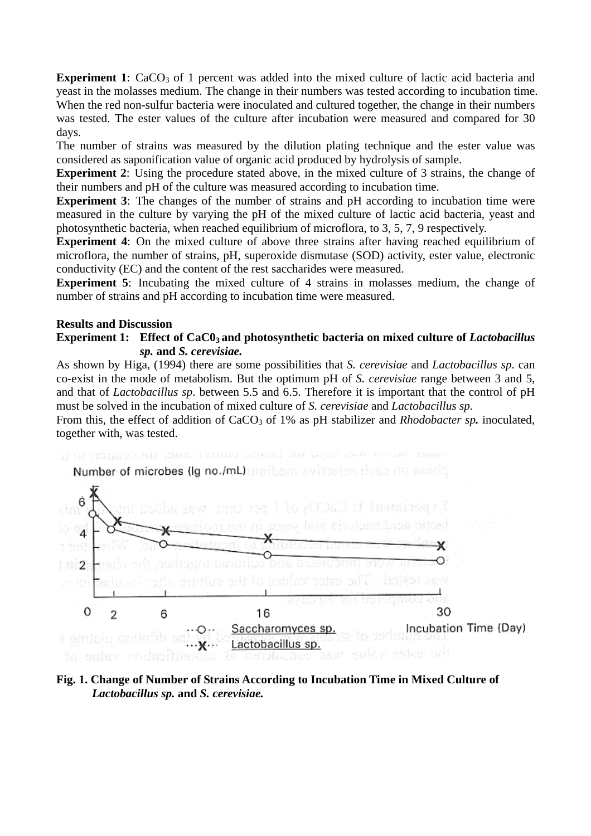**Experiment 1**: CaCO<sub>3</sub> of 1 percent was added into the mixed culture of lactic acid bacteria and yeast in the molasses medium. The change in their numbers was tested according to incubation time. When the red non-sulfur bacteria were inoculated and cultured together, the change in their numbers was tested. The ester values of the culture after incubation were measured and compared for 30 days.

The number of strains was measured by the dilution plating technique and the ester value was considered as saponification value of organic acid produced by hydrolysis of sample.

**Experiment 2**: Using the procedure stated above, in the mixed culture of 3 strains, the change of their numbers and pH of the culture was measured according to incubation time.

**Experiment 3**: The changes of the number of strains and pH according to incubation time were measured in the culture by varying the pH of the mixed culture of lactic acid bacteria, yeast and photosynthetic bacteria, when reached equilibrium of microflora, to 3, 5, 7, 9 respectively.

**Experiment 4**: On the mixed culture of above three strains after having reached equilibrium of microflora, the number of strains, pH, superoxide dismutase (SOD) activity, ester value, electronic conductivity (EC) and the content of the rest saccharides were measured.

**Experiment 5**: Incubating the mixed culture of 4 strains in molasses medium, the change of number of strains and pH according to incubation time were measured.

#### **Results and Discussion**

### **Experiment 1:** Effect of CaC0<sub>3</sub> and photosynthetic bacteria on mixed culture of *Lactobacillus sp.* **and** *S. cerevisiae.*

As shown by Higa, (1994) there are some possibilities that *S. cerevisiae* and *Lactobacillus sp*. can co-exist in the mode of metabolism. But the optimum pH of *S. cerevisiae* range between 3 and 5, and that of *Lactobacillus sp*. between 5.5 and 6.5. Therefore it is important that the control of pH must be solved in the incubation of mixed culture of *S. cerevisiae* and *Lactobacillus sp.*

From this, the effect of addition of CaCO<sub>3</sub> of 1% as pH stabilizer and *Rhodobacter sp.* inoculated, together with, was tested.



**Fig. 1. Change of Number of Strains According to Incubation Time in Mixed Culture of**  *Lactobacillus sp.* **and** *S. cerevisiae.*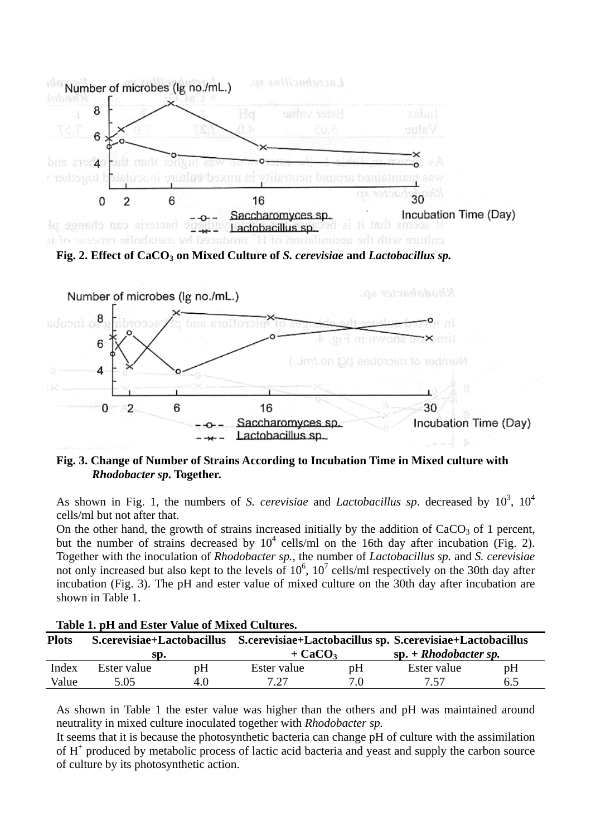



# **Fig. 3. Change of Number of Strains According to Incubation Time in Mixed culture with**  *Rhodobacter sp***. Together.**

As shown in Fig. 1, the numbers of *S. cerevisiae* and *Lactobacillus sp.* decreased by  $10^3$ ,  $10^4$ cells/ml but not after that.

On the other hand, the growth of strains increased initially by the addition of  $CaCO<sub>3</sub>$  of 1 percent, but the number of strains decreased by  $10^4$  cells/ml on the 16th day after incubation (Fig. 2). Together with the inoculation of *Rhodobacter sp.,* the number of *Lactobacillus sp.* and *S. cerevisiae* not only increased but also kept to the levels of  $10^6$ ,  $10^7$  cells/ml respectively on the 30th day after incubation (Fig. 3). The pH and ester value of mixed culture on the 30th day after incubation are shown in Table 1.

| Table 1. per and Ester value of Mixed Cultures. |             |     |                                                                                      |     |                         |     |  |  |  |  |  |
|-------------------------------------------------|-------------|-----|--------------------------------------------------------------------------------------|-----|-------------------------|-----|--|--|--|--|--|
| <b>Plots</b>                                    |             |     | S.cerevisiae+Lactobacillus S.cerevisiae+Lactobacillus sp. S.cerevisiae+Lactobacillus |     |                         |     |  |  |  |  |  |
|                                                 | SD.         |     | $+$ CaCO <sub>3</sub>                                                                |     | $sp. + Rhodobacter sp.$ |     |  |  |  |  |  |
| Index                                           | Ester value | pH  | Ester value                                                                          | pH  | Ester value             | pH  |  |  |  |  |  |
| Value                                           | 5.05        | 4.0 | 7.27                                                                                 | 7.0 | 7.57                    | 6.5 |  |  |  |  |  |

**Table 1. pH and Ester Value of Mixed Cultures.** 

As shown in Table 1 the ester value was higher than the others and pH was maintained around neutrality in mixed culture inoculated together with *Rhodobacter sp.*

It seems that it is because the photosynthetic bacteria can change pH of culture with the assimilation of H<sup>+</sup> produced by metabolic process of lactic acid bacteria and yeast and supply the carbon source of culture by its photosynthetic action.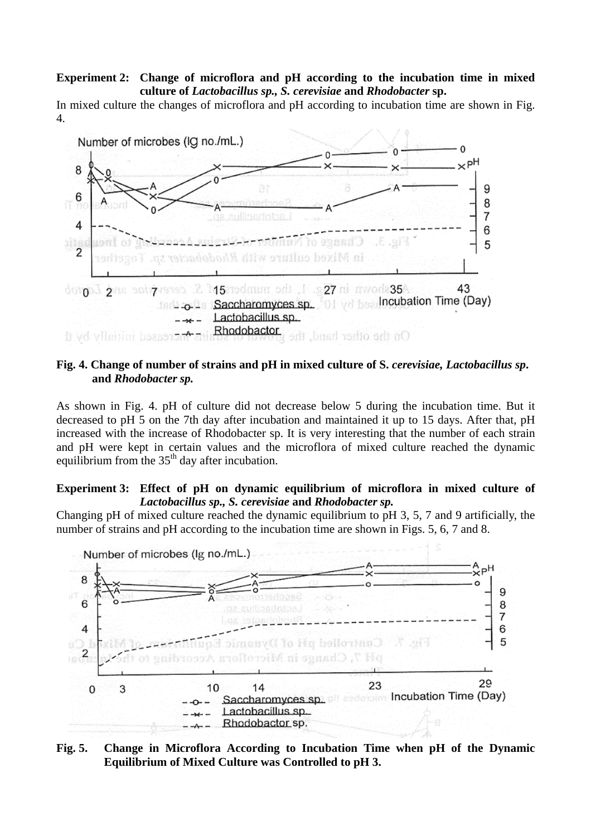### **Experiment 2: Change of microflora and pH according to the incubation time in mixed culture of** *Lactobacillus sp., S. cerevisiae* **and** *Rhodobacter* **sp.**

In mixed culture the changes of microflora and pH according to incubation time are shown in Fig. 4.



## **Fig. 4. Change of number of strains and pH in mixed culture of S.** *cerevisiae, Lactobacillus sp***. and** *Rhodobacter sp.*

As shown in Fig. 4. pH of culture did not decrease below 5 during the incubation time. But it decreased to pH 5 on the 7th day after incubation and maintained it up to 15 days. After that, pH increased with the increase of Rhodobacter sp. It is very interesting that the number of each strain and pH were kept in certain values and the microflora of mixed culture reached the dynamic equilibrium from the  $35<sup>th</sup>$  day after incubation.

### **Experiment 3: Effect of pH on dynamic equilibrium of microflora in mixed culture of** *Lactobacillus sp., S. cerevisiae* **and** *Rhodobacter sp.*

Changing pH of mixed culture reached the dynamic equilibrium to pH 3, 5, 7 and 9 artificially, the number of strains and pH according to the incubation time are shown in Figs. 5, 6, 7 and 8.



## **Fig. 5. Change in Microflora According to Incubation Time when pH of the Dynamic Equilibrium of Mixed Culture was Controlled to pH 3.**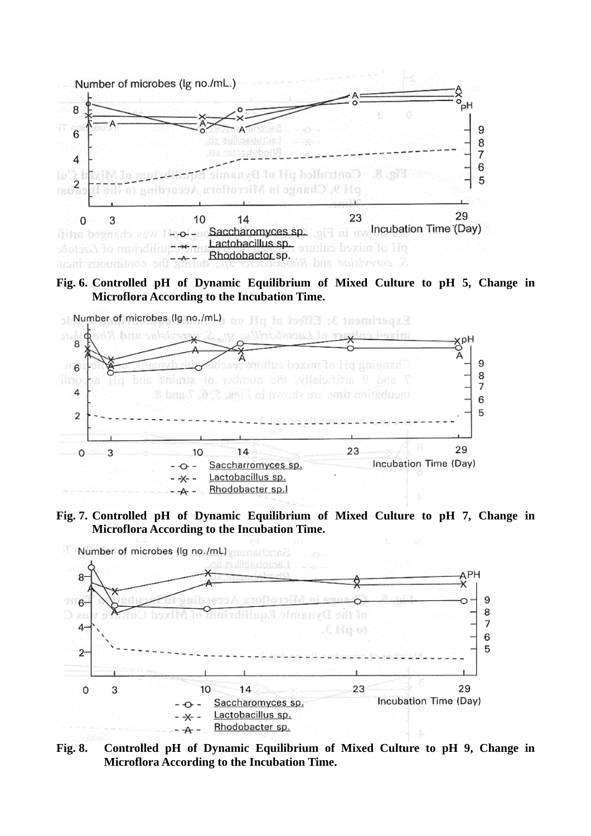

### **Fig. 6. Controlled pH of Dynamic Equilibrium of Mixed Culture to pH 5, Change in Microflora According to the Incubation Time.**



#### **Fig. 7. Controlled pH of Dynamic Equilibrium of Mixed Culture to pH 7, Change in Microflora According to the Incubation Time.**



**Fig. 8. Controlled pH of Dynamic Equilibrium of Mixed Culture to pH 9, Change in Microflora According to the Incubation Time.**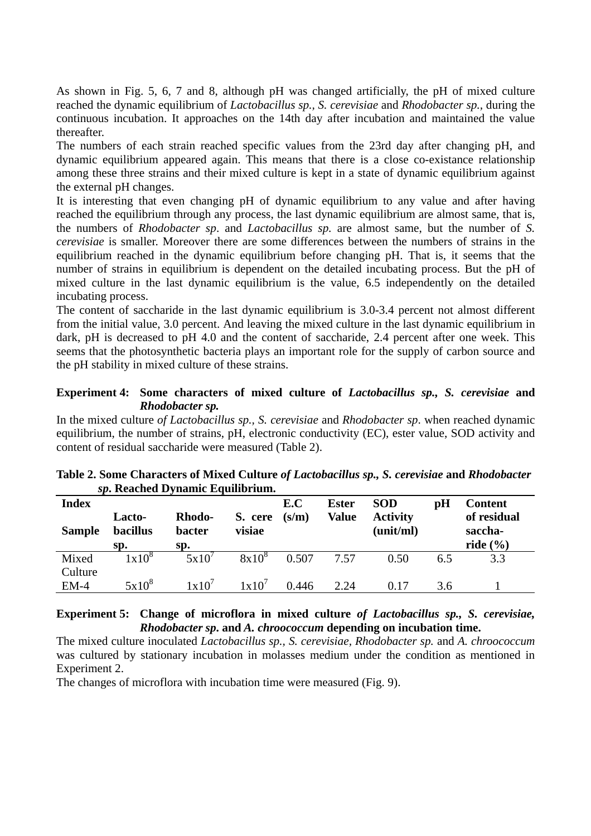As shown in Fig. 5, 6, 7 and 8, although pH was changed artificially, the pH of mixed culture reached the dynamic equilibrium of *Lactobacillus sp., S. cerevisiae* and *Rhodobacter sp.,* during the continuous incubation. It approaches on the 14th day after incubation and maintained the value thereafter.

The numbers of each strain reached specific values from the 23rd day after changing pH, and dynamic equilibrium appeared again. This means that there is a close co-existance relationship among these three strains and their mixed culture is kept in a state of dynamic equilibrium against the external pH changes.

It is interesting that even changing pH of dynamic equilibrium to any value and after having reached the equilibrium through any process, the last dynamic equilibrium are almost same, that is, the numbers of *Rhodobacter sp*. and *Lactobacillus sp.* are almost same, but the number of *S. cerevisiae* is smaller. Moreover there are some differences between the numbers of strains in the equilibrium reached in the dynamic equilibrium before changing pH. That is, it seems that the number of strains in equilibrium is dependent on the detailed incubating process. But the pH of mixed culture in the last dynamic equilibrium is the value, 6.5 independently on the detailed incubating process.

The content of saccharide in the last dynamic equilibrium is 3.0-3.4 percent not almost different from the initial value, 3.0 percent. And leaving the mixed culture in the last dynamic equilibrium in dark, pH is decreased to pH 4.0 and the content of saccharide, 2.4 percent after one week. This seems that the photosynthetic bacteria plays an important role for the supply of carbon source and the pH stability in mixed culture of these strains.

# **Experiment 4: Some characters of mixed culture of** *Lactobacillus sp., S. cerevisiae* **and** *Rhodobacter sp.*

In the mixed culture *of Lactobacillus sp., S. cerevisiae* and *Rhodobacter sp*. when reached dynamic equilibrium, the number of strains, pH, electronic conductivity (EC), ester value, SOD activity and content of residual saccharide were measured (Table 2).

| <b>Index</b><br><b>Sample</b> | Lacto-<br><b>bacillus</b><br>Sp. | <b>Rhodo-</b><br><b>bacter</b><br>Sp. | S. cere<br>visiae | E.C<br>(s/m) | <b>Ester</b><br><b>Value</b> | <b>SOD</b><br><b>Activity</b><br>(unit/ml) | pH  | <b>Content</b><br>of residual<br>saccha-<br>ride $(\% )$ |
|-------------------------------|----------------------------------|---------------------------------------|-------------------|--------------|------------------------------|--------------------------------------------|-----|----------------------------------------------------------|
| Mixed<br>Culture              | $1x10^8$                         | 5x10'                                 | $8x10^8$          | 0.507        | 7.57                         | 0.50                                       | 6.5 | 3.3                                                      |
| $EM-4$                        | $5x10^8$                         | 1x10'                                 | 1x10'             | 0.446        | 2.24                         | 0.17                                       | 3.6 |                                                          |

**Table 2. Some Characters of Mixed Culture** *of Lactobacillus sp., S. cerevisiae* **and** *Rhodobacter sp***. Reached Dynamic Equilibrium.** 

## **Experiment 5: Change of microflora in mixed culture** *of Lactobacillus sp., S. cerevisiae, Rhodobacter sp***. and** *A. chroococcum* **depending on incubation time.**

The mixed culture inoculated *Lactobacillus sp., S. cerevisiae, Rhodobacter sp.* and *A. chroococcum* was cultured by stationary incubation in molasses medium under the condition as mentioned in Experiment 2.

The changes of microflora with incubation time were measured (Fig. 9).